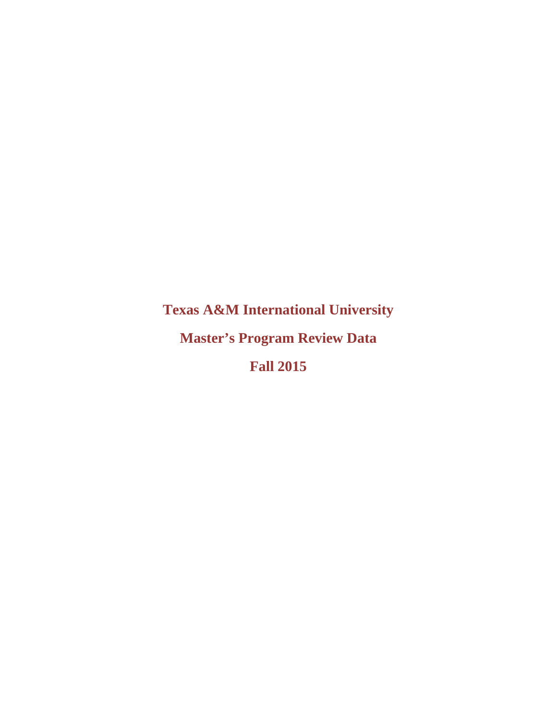**Texas A&M International University** 

**Master's Program Review Data** 

**Fall 2015**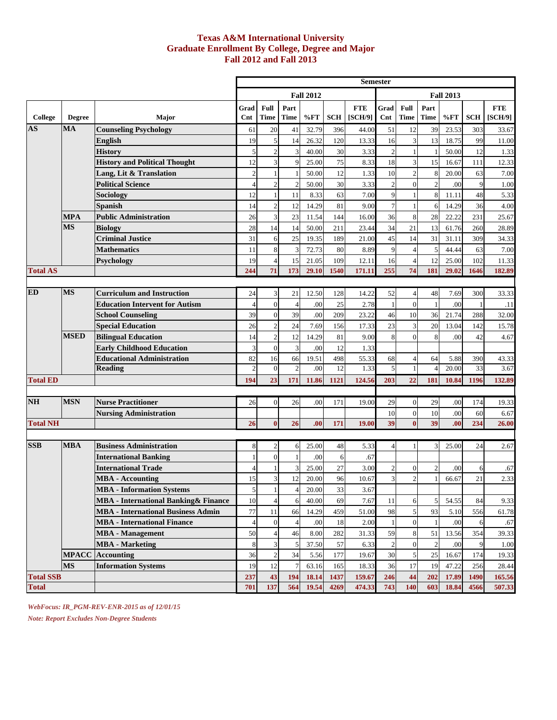## **Texas A&M International University Graduate Enrollment By College, Degree and Major Fall 2012 and Fall 2013**

|                  |                        |                                              |                |                |                      |                  |            |                       | <b>Semester</b> |                     |                     |                  |            |                       |
|------------------|------------------------|----------------------------------------------|----------------|----------------|----------------------|------------------|------------|-----------------------|-----------------|---------------------|---------------------|------------------|------------|-----------------------|
|                  |                        |                                              |                |                |                      | <b>Fall 2012</b> |            |                       |                 |                     |                     | <b>Fall 2013</b> |            |                       |
| College          | <b>Degree</b>          | Major                                        | Grad<br>Cnt    | Full<br>Time   | Part<br><b>Time</b>  | %FT              | <b>SCH</b> | <b>FTE</b><br>[SCH/9] | Grad<br>Cnt     | Full<br><b>Time</b> | Part<br><b>Time</b> | %FT              | <b>SCH</b> | <b>FTE</b><br>[SCH/9] |
| <b>AS</b>        | $\mathbf{M}\mathbf{A}$ | <b>Counseling Psychology</b>                 | 61             | 20             | 41                   | 32.79            | 396        | 44.00                 | 51              | 12                  | 39                  | 23.53            | 303        | 33.67                 |
|                  |                        | English                                      | 19             | 5              | 14                   | 26.32            | 120        | 13.33                 | 16              | 3                   | 13                  | 18.75            | 99         | 11.00                 |
|                  |                        | History                                      | $\mathfrak{S}$ | $\overline{2}$ | 3                    | 40.00            | 30         | 3.33                  | $\overline{2}$  |                     |                     | 50.00            | 12         | 1.33                  |
|                  |                        | <b>History and Political Thought</b>         | 12             | 3              | 9                    | 25.00            | 75         | 8.33                  | 18              | $\overline{3}$      | 15                  | 16.67            | 111        | 12.33                 |
|                  |                        | Lang, Lit & Translation                      | $\overline{2}$ |                |                      | 50.00            | 12         | 1.33                  | 10              | $\overline{2}$      | 8                   | 20.00            | 63         | 7.00                  |
|                  |                        | <b>Political Science</b>                     | $\Delta$       | $\overline{2}$ | $\overline{c}$       | 50.00            | 30         | 3.33                  | $\overline{c}$  | $\Omega$            | $\overline{2}$      | .00              | 9          | 1.00                  |
|                  |                        | <b>Sociology</b>                             | 12             |                | 11                   | 8.33             | 63         | 7.00                  | 9               |                     | 8                   | 11.11            | 48         | 5.33                  |
|                  |                        | <b>Spanish</b>                               | 14             | $\mathbf{2}$   | 12                   | 14.29            | 81         | 9.00                  | $\overline{7}$  |                     | 6                   | 14.29            | 36         | 4.00                  |
|                  | <b>MPA</b>             | <b>Public Administration</b>                 | 26             | 3              | 23                   | 11.54            | 144        | 16.00                 | 36              | 8                   | 28                  | 22.22            | 231        | 25.67                 |
|                  | <b>MS</b>              | <b>Biology</b>                               | 28             | 14             | 14                   | 50.00            | 211        | 23.44                 | 34              | 21                  | 13                  | 61.76            | 260        | 28.89                 |
|                  |                        | <b>Criminal Justice</b>                      | 31             | 6              | 25                   | 19.35            | 189        | 21.00                 | 45              | 14                  | 31                  | 31.11            | 309        | 34.33                 |
|                  |                        | <b>Mathematics</b>                           | 11             | 8              | 3                    | 72.73            | 80         | 8.89                  | 9               |                     | 5                   | 44.44            | 63         | 7.00                  |
|                  |                        | Psychology                                   | 19             | $\overline{4}$ | 15                   | 21.05            | 109        | 12.11                 | 16              |                     | 12                  | 25.00            | 102        | 11.33                 |
| <b>Total AS</b>  |                        |                                              | 244            | 71             | 173                  | 29.10            | 1540       | 171.11                | 255             | 74                  | 181                 | 29.02            | 1646       | 182.89                |
| <b>ED</b>        | <b>MS</b>              | <b>Curriculum and Instruction</b>            |                | 3              |                      | 12.50            | 128        | 14.22                 | 52              |                     | 48                  |                  |            |                       |
|                  |                        | <b>Education Intervent for Autism</b>        | 24             | $\mathbf{0}$   | 21<br>$\overline{4}$ | .00              | 25         | 2.78                  | $\mathbf{1}$    | 4<br>$\Omega$       |                     | 7.69<br>.00      | 300        | 33.33<br>.11          |
|                  |                        | <b>School Counseling</b>                     | 39             | $\mathbf{0}$   | 39                   | .00              | 209        | 23.22                 | 46              | 10                  | 36                  | 21.74            | 288        | 32.00                 |
|                  |                        | <b>Special Education</b>                     | 26             | $\overline{2}$ | 24                   | 7.69             | 156        | 17.33                 | 23              | 3                   | 20                  | 13.04            | 142        | 15.78                 |
|                  | <b>MSED</b>            | <b>Bilingual Education</b>                   | 14             | $\overline{c}$ | 12                   | 14.29            | 81         | 9.00                  | 8               | $\Omega$            | 8                   | .00              | 42         | 4.67                  |
|                  |                        | <b>Early Childhood Education</b>             | 3              | $\overline{0}$ | 3                    | .00              | 12         | 1.33                  |                 |                     |                     |                  |            |                       |
|                  |                        | <b>Educational Administration</b>            | 82             | 16             | 66                   | 19.51            | 498        | 55.33                 | 68              |                     | 64                  | 5.88             | 390        | 43.33                 |
|                  |                        | <b>Reading</b>                               | $\mathfrak{D}$ | $\overline{0}$ | $\overline{c}$       | .00              | 12         | 1.33                  | 5               | $\mathbf{1}$        | $\Delta$            | 20.00            | 33         | 3.67                  |
| <b>Total ED</b>  |                        |                                              | 194            | 23             | 171                  | 11.86            | 1121       | 124.56                | 203             | 22                  | 181                 | 10.84            | 1196       | 132.89                |
|                  |                        |                                              |                |                |                      |                  |            |                       |                 |                     |                     |                  |            |                       |
| <b>NH</b>        | <b>MSN</b>             | <b>Nurse Practitioner</b>                    | 26             | $\mathbf{0}$   | 26                   | .00              | 171        | 19.00                 | 29              | $\overline{0}$      | 29                  | .00              | 174        | 19.33                 |
|                  |                        | <b>Nursing Administration</b>                |                |                |                      |                  |            |                       | 10              | $\overline{0}$      | 10                  | .00              | 60         | 6.67                  |
| <b>Total NH</b>  |                        |                                              | 26             | $\bf{0}$       | 26                   | .00              | 171        | 19.00                 | 39              | $\bf{0}$            | 39                  | .00              | 234        | 26.00                 |
|                  |                        |                                              |                |                |                      |                  |            |                       |                 |                     |                     |                  |            |                       |
| <b>SSB</b>       | <b>MBA</b>             | <b>Business Administration</b>               | 8              | $\overline{c}$ | 6                    | 25.00            | 48         | 5.33                  | $\overline{4}$  |                     | 3                   | 25.00            | 24         | 2.67                  |
|                  |                        | <b>International Banking</b>                 |                | $\overline{0}$ |                      | .00              | 6          | .67                   |                 |                     |                     |                  |            |                       |
|                  |                        | <b>International Trade</b>                   |                |                |                      | 25.00            | 27         | 3.00                  | $\overline{c}$  | $\overline{0}$      | $\overline{2}$      | .00              | 6          | .67                   |
|                  |                        | MBA - Accounting                             | 15             | 3              | 12                   | 20.00            | 96         | 10.67                 | 3               | $\overline{2}$      |                     | 66.67            | 21         | 2.33                  |
|                  |                        | <b>MBA</b> - Information Systems             | $\mathbf{5}$   | -1             | $\overline{4}$       | 20.00            | 33         | 3.67                  |                 |                     |                     |                  |            |                       |
|                  |                        | <b>MBA</b> - International Banking & Finance | 10             |                | 6                    | 40.00            | 69         | 7.67                  | 11              | 6                   | 5                   | 54.55            | 84         | 9.33                  |
|                  |                        | <b>MBA - International Business Admin</b>    | $77\,$         | 11             | 66                   | 14.29            | 459        | 51.00                 | 98              | $\mathfrak{S}$      | 93                  | 5.10             | 556        | 61.78                 |
|                  |                        | <b>MBA</b> - International Finance           |                | $\mathbf{0}$   |                      | .00              | 18         | 2.00                  |                 | $\overline{0}$      | $\mathbf{1}$        | .00              | 6          | .67                   |
|                  |                        | <b>MBA</b> - Management                      | 50             |                | 46                   | 8.00             | 282        | 31.33                 | 59              | 8                   | 51                  | 13.56            | 354        | 39.33                 |
|                  |                        | <b>MBA</b> - Marketing                       | 8              | 3              | 5                    | 37.50            | 57         | 6.33                  | $\overline{c}$  | $\overline{0}$      | $\overline{2}$      | .00              | 9          | 1.00                  |
|                  | <b>MPACC</b>           | <b>Accounting</b>                            | 36             | $\overline{c}$ | 34                   | 5.56             | 177        | 19.67                 | 30              | 5 <sup>1</sup>      | 25                  | 16.67            | 174        | 19.33                 |
|                  | <b>MS</b>              | <b>Information Systems</b>                   | 19             | 12             | $\tau$               | 63.16            | 165        | 18.33                 | 36              | 17                  | 19                  | 47.22            | 256        | 28.44                 |
| <b>Total SSB</b> |                        |                                              | 237            | 43             | 194                  | 18.14            | 1437       | 159.67                | 246             | 44                  | 202                 | 17.89            | 1490       | 165.56                |
| <b>Total</b>     |                        |                                              | 701            | 137            | 564                  | 19.54            | 4269       | 474.33                | 743             | 140                 | 603                 | 18.84            | 4566       | 507.33                |

*WebFocus: IR\_PGM-REV-ENR-2015 as of 12/01/15* 

*Note: Report Excludes Non-Degree Students*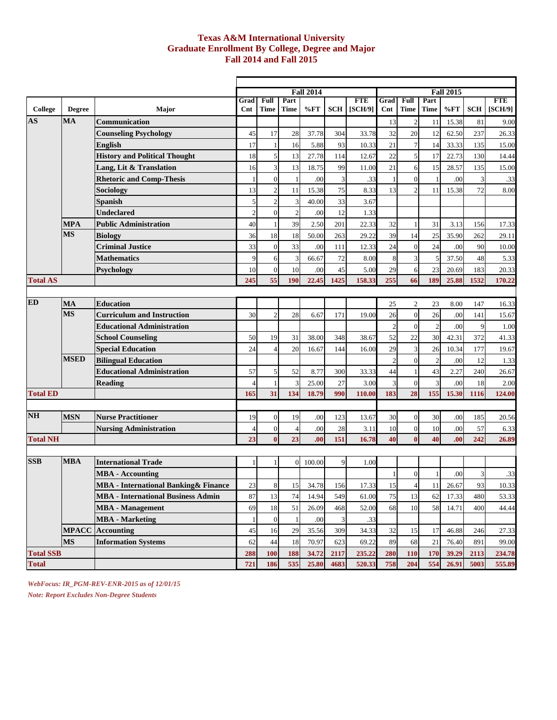## **Texas A&M International University Graduate Enrollment By College, Degree and Major Fall 2014 and Fall 2015**

|                          |                         |                                              |                          |                     |                          | <b>Fall 2014</b> |            |                       |                |                     |                     | <b>Fall 2015</b> |            |                       |
|--------------------------|-------------------------|----------------------------------------------|--------------------------|---------------------|--------------------------|------------------|------------|-----------------------|----------------|---------------------|---------------------|------------------|------------|-----------------------|
| College                  | <b>Degree</b>           | Major                                        | Grad<br>$\mathbf{Cnt}$   | Full<br><b>Time</b> | Part<br>Time             | %FT              | <b>SCH</b> | <b>FTE</b><br>[SCH/9] | Grad<br>Cnt    | Full<br><b>Time</b> | Part<br><b>Time</b> | %FT              | <b>SCH</b> | <b>FTE</b><br>[SCH/9] |
| AS                       | <b>MA</b>               | <b>Communication</b>                         |                          |                     |                          |                  |            |                       | 13             | $\overline{c}$      | 11                  | 15.38            | 81         | 9.00                  |
|                          |                         | <b>Counseling Psychology</b>                 | 45                       | 17                  | 28                       | 37.78            | 304        | 33.78                 | 32             | 20                  | 12                  | 62.50            | 237        |                       |
|                          |                         |                                              | 17                       |                     |                          |                  |            |                       | 21             |                     | 14                  | 33.33            |            | 26.33                 |
|                          |                         | <b>English</b>                               |                          |                     | 16                       | 5.88             | 93         | 10.33                 |                |                     |                     |                  | 135        | 15.00                 |
|                          |                         | <b>History and Political Thought</b>         | 18                       | 5                   | 13                       | 27.78            | 114        | 12.67                 | 22             | 5                   | 17                  | 22.73            | 130        | 14.44                 |
|                          |                         | Lang, Lit & Translation                      | 16                       | 3                   | 13                       | 18.75            | 99         | 11.00                 | 21             | 6                   | 15                  | 28.57            | 135        | 15.00                 |
|                          |                         | <b>Rhetoric and Comp-Thesis</b>              | $\mathbf{1}$             | $\overline{0}$      |                          | .00              | 3          | .33                   |                | $\Omega$            | $\mathbf{1}$        | .00              | 3          | .33                   |
|                          |                         | Sociology                                    | 13                       | $\overline{c}$      | 11                       | 15.38            | 75         | 8.33                  | 13             |                     | 11                  | 15.38            | 72         | 8.00                  |
|                          |                         | <b>Spanish</b>                               | 5                        | $\overline{c}$      |                          | 40.00            | 33         | 3.67                  |                |                     |                     |                  |            |                       |
|                          |                         | <b>Undeclared</b>                            | $\overline{2}$           | $\mathbf{0}$        | $\overline{2}$           | .00              | 12         | 1.33                  |                |                     |                     |                  |            |                       |
|                          | <b>MPA</b><br><b>MS</b> | <b>Public Administration</b>                 | 40                       |                     | 39                       | 2.50             | 201        | 22.33                 | 32             |                     | 31                  | 3.13             | 156        | 17.33                 |
|                          |                         | <b>Biology</b>                               | 36                       | 18                  | 18                       | 50.00            | 263        | 29.22                 | 39             | 14                  | 25                  | 35.90            | 262        | 29.11                 |
|                          |                         | <b>Criminal Justice</b>                      | 33                       | $\mathbf{0}$        | 33                       | .00              | 111        | 12.33                 | 24             | $\overline{0}$      | 24                  | .00              | 90         | 10.00                 |
|                          |                         | <b>Mathematics</b>                           | 9                        | 6                   | 3                        | 66.67            | 72         | 8.00                  | 8              | 3                   | 5                   | 37.50            | 48         | 5.33                  |
|                          |                         | Psychology                                   | 10                       | $\mathbf{0}$        | 10                       | .00              | 45         | 5.00                  | 29             | 6                   | 23                  | 20.69            | 183        | 20.33                 |
| <b>Total AS</b>          |                         |                                              | 245                      | 55                  | 190                      | 22.45            | 1425       | 158.33                | 255            | 66                  | 189                 | 25.88            | 1532       | 170.22                |
|                          |                         |                                              |                          |                     |                          |                  |            |                       |                |                     |                     |                  |            |                       |
| <b>ED</b>                | <b>MA</b>               | <b>Education</b>                             |                          |                     |                          |                  |            |                       | 25             | 2                   | 23                  | 8.00             | 147        | 16.33                 |
|                          | <b>MS</b>               | <b>Curriculum and Instruction</b>            | 30                       | $\overline{2}$      | 28                       | 6.67             | 171        | 19.00                 | 26             | $\Omega$            | 26                  | .00              | 141        | 15.67                 |
| <b>MSED</b>              |                         | <b>Educational Administration</b>            |                          |                     |                          |                  |            |                       | $\overline{2}$ | $\theta$            | $\sqrt{2}$          | .00              | 9          | 1.00                  |
|                          |                         | <b>School Counseling</b>                     | 50                       | 19                  | 31                       | 38.00            | 348        | 38.67                 | 52             | 22                  | 30                  | 42.31            | 372        | 41.33                 |
|                          |                         | <b>Special Education</b>                     | 24                       | 4                   | 20                       | 16.67            | 144        | 16.00                 | 29             | 3                   | 26                  | 10.34            | 177        | 19.67                 |
|                          |                         | <b>Bilingual Education</b>                   |                          |                     |                          |                  |            |                       | $\overline{2}$ | $\Omega$            | $\overline{c}$      | .00              | 12         | 1.33                  |
|                          |                         | <b>Educational Administration</b>            | 57                       | 5                   | 52                       | 8.77             | 300        | 33.33                 | 44             |                     | 43                  | 2.27             | 240        | 26.67                 |
|                          |                         | <b>Reading</b>                               | $\overline{\mathcal{L}}$ |                     |                          | 25.00            | 27         | 3.00                  | 3              | $\theta$            | 3                   | .00              | 18         | 2.00                  |
| <b>Total ED</b>          |                         |                                              | 165                      | 31                  | 134                      | 18.79            | 990        | 110.00                | 183            | 28                  | 155                 | 15.30            | 1116       | 124.00                |
|                          |                         |                                              |                          |                     |                          |                  |            |                       |                |                     |                     |                  |            |                       |
| <b>NH</b>                | <b>MSN</b>              | <b>Nurse Practitioner</b>                    | 19                       | $\boldsymbol{0}$    | 19                       | .00              | 123        | 13.67                 | 30             | $\Omega$            | 30                  | .00              | 185        | 20.56                 |
|                          |                         | <b>Nursing Administration</b>                | $\overline{4}$           | $\mathbf{0}$        | $\overline{\mathcal{A}}$ | .00              | 28         | 3.11                  | 10             | $\overline{0}$      | 10                  | .00              | 57         | 6.33                  |
| <b>Total NH</b>          |                         |                                              | 23                       | $\bf{0}$            | 23                       | .00              | 151        | 16.78                 | 40             | $\mathbf{0}$        | 40                  | .00              | 242        | 26.89                 |
|                          |                         |                                              |                          |                     |                          |                  |            |                       |                |                     |                     |                  |            |                       |
| <b>SSB</b><br><b>MBA</b> |                         | <b>International Trade</b>                   | 1                        | 1                   | $\overline{0}$           | 100.00           | 9          | 1.00                  |                |                     |                     |                  |            |                       |
|                          |                         | <b>MBA</b> - Accounting                      |                          |                     |                          |                  |            |                       |                | $\overline{0}$      | $\mathbf{1}$        | .00              | 3          | .33                   |
|                          |                         | <b>MBA</b> - International Banking & Finance | 23                       | 8                   | 15                       | 34.78            | 156        | 17.33                 | 15             | $\overline{4}$      | $11\,$              | 26.67            | 93         | 10.33                 |
|                          |                         | <b>MBA</b> - International Business Admin    | 87                       | 13                  | 74                       | 14.94            | 549        | 61.00                 | 75             | 13                  | 62                  | 17.33            | 480        | 53.33                 |
|                          |                         | <b>MBA</b> - Management                      | 69                       | 18                  | 51                       | 26.09            | 468        | 52.00                 | 68             | 10                  | 58                  | 14.71            | 400        | 44.44                 |
|                          |                         | <b>MBA</b> - Marketing                       | $\mathbf{1}$             | $\mathbf{0}$        |                          | .00              | 3          | .33                   |                |                     |                     |                  |            |                       |
|                          | <b>MPACC</b>            | <b>Accounting</b>                            | 45                       | 16                  | 29                       | 35.56            | 309        | 34.33                 | 32             | 15                  | 17                  | 46.88            | 246        | 27.33                 |
|                          | <b>MS</b>               | <b>Information Systems</b>                   | 62                       | 44                  | 18                       | 70.97            | 623        | 69.22                 | 89             | 68                  | 21                  | 76.40            | 891        | 99.00                 |
| <b>Total SSB</b>         |                         |                                              | 288                      | 100                 | 188                      | 34.72            | 2117       | 235.22                | 280            | 110                 | 170                 | 39.29            | 2113       | 234.78                |
| <b>Total</b>             |                         |                                              | 721                      | 186                 | 535                      | 25.80            | 4683       | 520.33                | 758            | 204                 | 554                 | 26.91            | 5003       | 555.89                |

*WebFocus: IR\_PGM-REV-ENR-2015 as of 12/01/15 Note: Report Excludes Non-Degree Students*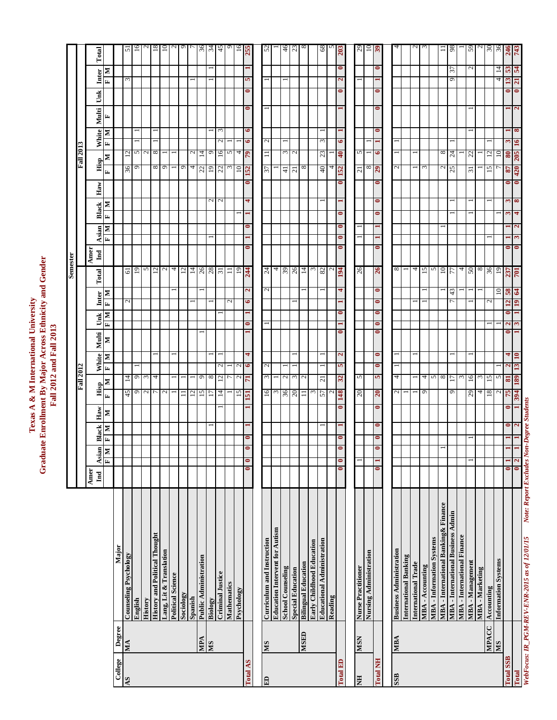Texas A & M International University<br>Graduate Enrollment By Major Across Ethnicity and Gender<br>Fall 2012 and Fall 2013 **Graduate Enrollment By Major Across Ethnicity and Gender Texas A & M International University Fall 2012 and Fall 2013**

|                  |               |                                           |                                 |                   |           |                        |                 |                                 |              |                        |                              |               | Semester                      |                        |           |               |           |                  |                            |           |           |                             |                |                |
|------------------|---------------|-------------------------------------------|---------------------------------|-------------------|-----------|------------------------|-----------------|---------------------------------|--------------|------------------------|------------------------------|---------------|-------------------------------|------------------------|-----------|---------------|-----------|------------------|----------------------------|-----------|-----------|-----------------------------|----------------|----------------|
|                  |               |                                           |                                 |                   |           |                        |                 | <b>Fall 2012</b>                |              |                        |                              |               |                               |                        |           |               |           | <b>Fall 2013</b> |                            |           |           |                             |                |                |
|                  |               |                                           | Amer<br>$\overline{\mathbf{h}}$ | Asian             | Black     | $_{\rm Haw}$           | Hisp            | White                           | Multi        |                        | Unk                          | Inter         | Amer<br>$\mathbf{h}$<br>Total |                        | Asian     | <b>Black</b>  | Haw       | Hisp             | White                      | Multi     |           | Ŭnk                         | Inter          | Total          |
|                  |               |                                           |                                 | Þ<br>$\mathbf{r}$ | N<br>E,   | N                      | N<br>国          | E,                              | z<br>N       | E                      | $\vert x_i$<br>N             | N             |                               | E,                     | E<br>N    | Σ             |           | N<br>E           | E,                         | r,<br>Σ   |           | E                           | N              |                |
| College          | Degree        | Major                                     |                                 |                   |           |                        |                 |                                 |              |                        |                              |               |                               |                        |           |               |           |                  |                            |           |           |                             |                |                |
| <b>AS</b>        | MA            | <b>Counseling Psychology</b>              |                                 |                   |           |                        | $\frac{45}{9}$  | $\frac{14}{9}$                  |              |                        | $\sim$                       |               | $rac{61}{19}$                 |                        |           |               |           | 36 <sup>9</sup>  | 2000                       |           |           | $\epsilon$                  |                | 5              |
|                  |               | English                                   |                                 |                   |           |                        |                 |                                 |              |                        |                              |               |                               |                        |           |               |           |                  |                            |           |           |                             |                | $\Xi$          |
|                  |               | <b>History</b>                            |                                 |                   |           |                        | $\sim$ $\sim$   | $\omega$                        |              |                        |                              |               | n                             |                        |           |               |           |                  |                            |           |           |                             |                |                |
|                  |               | <b>History and Political Thought</b>      |                                 |                   |           |                        |                 | 4                               |              |                        |                              |               | $\overline{c}$                |                        |           |               |           | ${}^{\circ}$     |                            |           |           |                             |                | $^{18}$        |
|                  |               | Lang, Lit & Translation                   |                                 |                   |           |                        | $\mathcal{L}$   |                                 |              |                        |                              |               |                               |                        |           |               |           | $\sigma$         |                            |           |           |                             |                | ≘              |
|                  |               | <b>Political Science</b>                  |                                 |                   |           |                        |                 |                                 |              |                        |                              |               | 4                             |                        |           |               |           |                  |                            |           |           |                             |                |                |
|                  |               | Sociology                                 |                                 |                   |           |                        | Ξ               |                                 |              |                        |                              |               | ≌                             |                        |           |               |           | $\circ$          |                            |           |           |                             |                |                |
|                  |               | Spanish                                   |                                 |                   |           |                        | $\overline{c}$  |                                 |              |                        |                              |               | 그                             |                        |           |               |           | 4                | $\mathcal{C}$              |           |           |                             |                |                |
|                  | MPA           | Public Administration                     |                                 |                   |           |                        | $\overline{15}$ | $\circ$                         |              |                        |                              |               |                               |                        |           |               |           | 22               | 그                          |           |           |                             |                | 36             |
|                  | SIN           | Biology                                   |                                 |                   |           |                        |                 | $^{\circ}$                      |              |                        |                              |               | $\frac{26}{28}$               |                        |           | $\mathcal{L}$ |           | 61               | ٥                          |           |           |                             |                | 34             |
|                  |               | <b>Criminal Justice</b>                   |                                 |                   |           |                        | 4               | $\mathcal{L}$<br>$\overline{c}$ |              |                        |                              |               | $\overline{\mathcal{E}}$      |                        |           | $\mathbf{C}$  |           | 22               | $\mathcal{L}$<br>16        | 3         |           |                             |                | 45             |
|                  |               | Mathematics                               |                                 |                   |           |                        |                 |                                 |              |                        | $\sim$                       |               | ゠                             |                        |           |               |           | $\omega$         | 5                          |           |           |                             |                |                |
|                  |               | Psychology                                |                                 |                   |           |                        | 15              | $\mathcal{L}$<br>$\mathcal{L}$  |              |                        |                              |               | $\overline{5}$                |                        |           |               |           | $\overline{10}$  | 4                          |           |           |                             |                | $\overline{5}$ |
| Total AS         |               |                                           | $\bullet$                       | $\bullet$         | $\bullet$ |                        | 151             | 6<br>$\mathbf{u}$               | 4            | $\bullet$              | $\bullet$                    | $\mathbf{z}$  | 244                           | $\bullet$              | $\bullet$ | 4             | $\bullet$ | <b>S2</b>        | $\bullet$<br>79            | $\bullet$ | $\bullet$ | <b>SP</b><br>$\bullet$      |                | 255            |
|                  |               |                                           |                                 |                   |           |                        |                 |                                 |              |                        |                              |               |                               |                        |           |               |           |                  |                            |           |           |                             |                |                |
| $\mathbf{E}$     | ${\bf SM}$    | Curriculum and Instruction                |                                 |                   |           |                        | 16              | $\mathcal{L}$<br>$\omega$       |              |                        |                              | $\mathcal{L}$ | Z                             |                        |           |               |           | 57               | $\mathcal{L}$<br>$\equiv$  |           |           |                             |                | $\mathcal{S}$  |
|                  |               | <b>Education Intervent for Autism</b>     |                                 |                   |           |                        | $\mathfrak{c}$  |                                 |              |                        |                              |               | ↤                             |                        |           |               |           |                  |                            |           |           |                             |                |                |
|                  |               | <b>School Counseling</b>                  |                                 |                   |           |                        |                 | $\sim$                          |              |                        |                              |               |                               |                        |           |               |           | $\overline{4}$   |                            |           |           |                             |                | 46             |
|                  |               | <b>Special Education</b>                  |                                 |                   |           |                        | $rac{36}{20}$   | $\epsilon$                      |              |                        |                              |               | $\frac{39}{14}$               |                        |           |               |           | $\overline{c}$   | $\frac{1}{2}$              |           |           |                             |                | 23             |
|                  | <b>CESN</b>   | <b>Bilingual Education</b>                |                                 |                   |           |                        | 급               | $\mathcal{L}$                   |              |                        |                              |               |                               |                        |           |               |           | $^{\circ}$       |                            |           |           |                             |                |                |
|                  |               | Early Childhood Education                 |                                 |                   |           |                        | $\omega$        |                                 |              |                        |                              |               |                               |                        |           |               |           |                  |                            |           |           |                             |                |                |
|                  |               | <b>Educational Administration</b>         |                                 |                   |           |                        | 57              | $\overline{z}$                  |              |                        |                              |               | $\infty$                      |                        |           |               |           | $\overline{40}$  | $\infty$<br>$\mathfrak{z}$ |           |           |                             |                | $\frac{8}{6}$  |
|                  |               | Reading                                   |                                 |                   |           |                        | $\mathbf{c}$    |                                 |              |                        |                              |               |                               |                        |           |               |           | 4                |                            |           |           |                             |                |                |
| Total ED         |               |                                           |                                 |                   |           | $\bullet$              | 148             | 5<br>32                         | $\mathbf{z}$ | 0                      | $\bullet$                    | 4             | 194                           | $\bullet$<br>$\bullet$ | $\bullet$ | $\bullet$     | $\bullet$ | 152              | $\bullet$<br>40            |           |           | $\mathbf{z}$<br>$\bullet$   | $\bullet$      | 203            |
|                  |               |                                           |                                 |                   |           |                        |                 |                                 |              |                        |                              |               |                               |                        |           |               |           |                  |                            |           |           |                             |                |                |
| EN               | <b>NSIV</b>   | <b>Nurse Practitioner</b>                 |                                 |                   |           |                        | $\overline{c}$  | 5                               |              |                        |                              |               | 26                            |                        |           |               |           | $\overline{z}$   | 5                          |           |           |                             |                | 29             |
|                  |               | Nursing Administration                    |                                 |                   |           |                        |                 |                                 |              |                        |                              |               |                               |                        |           |               |           | $\infty$         |                            |           |           |                             |                | $\Xi$          |
| <b>Total NH</b>  |               |                                           | 0                               |                   |           | $\bullet$<br>$\bullet$ | $\overline{0}$  | $\bullet$<br>S                  | $\bullet$    | $\bullet$<br>$\bullet$ | $\bullet$<br>$\bullet$       | $\bullet$     | 26                            | $\bullet$              |           | $\bullet$     | $\bullet$ | 67               | 6                          | $\bullet$ | $\bullet$ | $\bullet$                   | $\bullet$      | $\mathbf{e}$   |
|                  |               |                                           |                                 |                   |           |                        |                 |                                 |              |                        |                              |               |                               |                        |           |               |           |                  |                            |           |           |                             |                |                |
| <b>ass</b>       | <b>NBA</b>    | <b>Business Administration</b>            |                                 |                   |           |                        | $\mathbf{c}$    | −<br>4                          |              |                        |                              |               | 8                             |                        |           |               |           | 2                | −                          |           |           |                             |                |                |
|                  |               | <b>International Banking</b>              |                                 |                   |           |                        |                 |                                 |              |                        |                              |               |                               |                        |           |               |           |                  |                            |           |           |                             |                |                |
|                  |               | International Trade                       |                                 |                   |           |                        |                 |                                 |              |                        |                              |               | 4                             |                        |           |               |           |                  |                            |           |           |                             |                |                |
|                  |               | MBA - Accounting                          |                                 |                   |           |                        | $\circ$         | 4                               |              |                        |                              |               | 51                            |                        |           |               |           | $\epsilon$       |                            |           |           |                             |                |                |
|                  |               | <b>MBA</b> - Information Systems          |                                 |                   |           |                        |                 | $\sim$                          |              |                        |                              |               | n                             |                        |           |               |           |                  |                            |           |           |                             |                |                |
|                  |               | MBA - International Banking& Finance      |                                 |                   |           |                        |                 | $\infty$                        |              |                        |                              |               | $^{10}$                       |                        |           |               |           | $\mathbf{C}$     | $\infty$                   |           |           |                             |                | ⊣              |
|                  |               | <b>MBA</b> - International Business Admin |                                 |                   |           |                        | Ó               | E                               |              |                        | ⊢                            | 43            | 77                            |                        |           |               |           | 25               | 24                         |           |           | 9                           | 57             | $^{8}$         |
|                  |               | <b>MBA</b> - International Finance        |                                 |                   |           |                        |                 | $\sim$                          |              |                        |                              |               | 4                             |                        |           |               |           |                  |                            |           |           |                             |                |                |
|                  |               | MBA - Management                          |                                 |                   |           |                        | 29              | 16                              |              |                        |                              |               | $50^{\circ}$                  |                        |           |               |           | $\overline{5}$   | $\mathfrak{Z}$             |           |           |                             | $\sim$         | 59             |
|                  |               | <b>MBA</b> - Marketing                    |                                 |                   |           |                        | 4               | ω                               |              |                        |                              |               | $^{\circ}$                    |                        |           |               |           |                  |                            |           |           |                             |                |                |
|                  | NIS<br>NINGCO | Accounting                                |                                 |                   |           |                        | $\overline{18}$ | $\overline{5}$                  |              |                        | $\scriptstyle\sim$           |               | 36                            |                        |           |               |           | 15               | $\overline{\omega}$        |           |           |                             |                | $\frac{8}{36}$ |
|                  |               | <b>Information Systems</b>                |                                 |                   |           |                        | $\mathbf 2$     | 5                               |              |                        |                              | $\Xi$         | $\overline{5}$                |                        |           |               |           |                  | ≘                          |           |           | 4                           | 4              |                |
| <b>Total SSB</b> |               |                                           | 0                               |                   |           | 0<br>0                 | 75              | $\mathbf{\tilde{c}}$<br>5       | 4            | $\mathbf{z}$<br>0      | $\overline{12}$<br>$\bullet$ | 58            | 237                           | $\bullet$              |           | m<br>S        | $\bullet$ | $\sqrt{8}$       | $\bf{80}$                  |           |           | 13<br>0                     | $3\frac{3}{4}$ | 245            |
| Total            |               |                                           | $\bullet$                       |                   |           |                        | 394             | 189                             | $\mathbf{a}$ |                        | ≘                            | 64            | 701                           | 0                      |           |               | $\bullet$ | 205<br>420       |                            |           |           | $\overline{a}$<br>$\bullet$ |                |                |

WebFocus: IR\_PGM-REV-ENR-2015 as of 12/01/15 Note: Report Excludes Non-Degree Students *WebFocus: IR\_PGM-REV-ENR-2015 as of 12/01/15 Note: Report Excludes Non-Degree Students*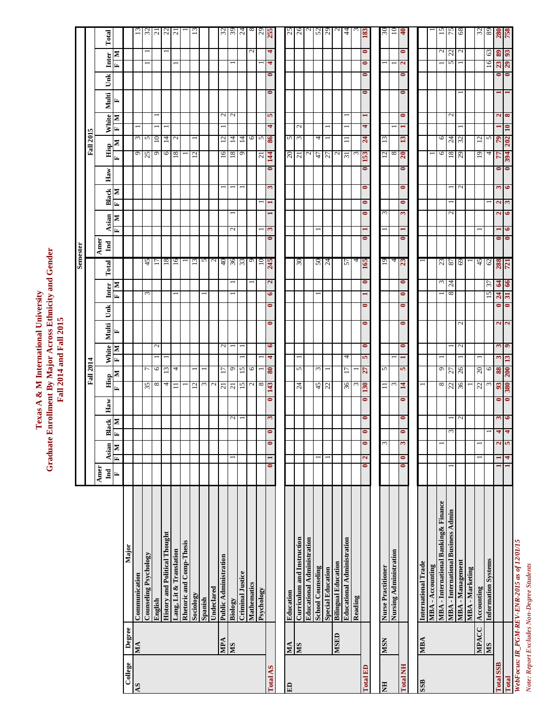Texas A & M International University<br>Graduate Enrollment By Major Across Ethnicity and Gender<br>Fall 2014 and Fall 2015 **Graduate Enrollment By Major Across Ethnicity and Gender Texas A & M International University Fall 2014 and Fall 2015**

|                        |              |                                              |                      |                              |                                          |                     |           |                      |                |                |                   |                        |              | Semester               |                        |                              |              |           |                         |                        |               |           |                           |              |                  |
|------------------------|--------------|----------------------------------------------|----------------------|------------------------------|------------------------------------------|---------------------|-----------|----------------------|----------------|----------------|-------------------|------------------------|--------------|------------------------|------------------------|------------------------------|--------------|-----------|-------------------------|------------------------|---------------|-----------|---------------------------|--------------|------------------|
|                        |              |                                              |                      |                              |                                          |                     |           | <b>Fall 2014</b>     |                |                |                   |                        |              |                        |                        |                              |              |           |                         | <b>Fall 2015</b>       |               |           |                           |              |                  |
|                        |              |                                              | Amer<br>$_{\rm Ind}$ | Asian                        |                                          |                     | Haw       | Hisp                 | White          | Multi          | Unk               | Inter                  | Total        | Amer<br>$\mathbf{Ind}$ | Asian                  |                              | <b>Black</b> | Haw       | Hisp                    | White                  | Multi         | Unk       | Inter                     |              | Total            |
|                        |              |                                              | E                    | $\mathbf{N}$<br>$\mathbf{H}$ |                                          | Black<br>F   M<br>× | E,        | N                    | Œ,             | E,<br>≅        |                   | Ŀ,                     | N            |                        | E,                     | E,<br>N                      | ≅            |           | E,                      | Ŀ,<br>$\mathbf{N}$     | E,<br>Σ       |           | E,                        | Σ            |                  |
| College                | Degree       | Major                                        |                      |                              |                                          |                     |           |                      |                |                |                   |                        |              |                        |                        |                              |              |           |                         |                        |               |           |                           |              |                  |
| $\mathbf{A}\mathbf{S}$ | MA           | Communication                                |                      |                              |                                          |                     |           |                      |                |                |                   |                        |              |                        |                        |                              |              |           | 9                       |                        |               |           |                           |              | $\Xi$            |
|                        |              | <b>Counseling Psychology</b>                 |                      |                              |                                          |                     |           | 35                   | $\overline{ }$ |                |                   | $\epsilon$             |              | 45                     |                        |                              |              |           | 25                      | $\frac{3}{2}$          |               |           |                           |              | $\mathfrak{L}$   |
|                        |              | English                                      |                      |                              |                                          |                     |           | $^{\circ}$           | $\circ$        | $\mathbf{c}$   |                   |                        |              | Ξ                      |                        |                              |              |           | $\circ$                 |                        |               |           |                           |              | $\overline{a}$   |
|                        |              | <b>History and Political Thought</b>         |                      |                              |                                          |                     |           | 4                    | 13             |                |                   |                        |              | $^{18}$                |                        |                              |              |           | 6                       | 14                     |               |           |                           |              |                  |
|                        |              | Lang, Lit & Translation                      |                      |                              |                                          |                     |           | $\equiv$             | 4              |                |                   |                        |              | 16                     |                        |                              |              |           | 18                      | $\mathcal{L}$          |               |           |                           |              | $\frac{22}{21}$  |
|                        |              | <b>Rhetoric and Comp-Thesis</b>              |                      |                              |                                          |                     |           |                      |                |                |                   |                        |              |                        |                        |                              |              |           |                         |                        |               |           |                           |              |                  |
|                        |              | Sociology                                    |                      |                              |                                          |                     |           | $\overline{c}$       |                |                |                   |                        |              | 13                     |                        |                              |              |           | 12                      |                        |               |           |                           |              |                  |
|                        |              | Spanish                                      |                      |                              |                                          |                     |           | $\epsilon$           |                |                |                   |                        |              | 5                      |                        |                              |              |           |                         |                        |               |           |                           |              |                  |
|                        |              | Undeclared                                   |                      |                              |                                          |                     |           | $\sim$               |                |                |                   |                        |              |                        |                        |                              |              |           |                         |                        |               |           |                           |              |                  |
|                        | MPA          | Public Administration                        |                      |                              |                                          |                     |           | 17<br>$\overline{z}$ |                | $\mathcal{L}$  |                   |                        |              | 40                     |                        |                              |              |           | 16                      | 12                     |               |           |                           |              |                  |
|                        | SM           | Biology                                      |                      |                              |                                          | $\mathcal{L}$       |           | $\overline{c}$       | $\circ$        |                |                   |                        |              |                        | $\mathbf{c}$           |                              |              |           | 18                      | 14                     | $\sim$ $\sim$ |           |                           |              | $\frac{32}{39}$  |
|                        |              | <b>Criminal Justice</b>                      |                      |                              |                                          |                     |           | $\overline{15}$      | 15             |                |                   |                        |              | $rac{36}{33}$          |                        |                              |              |           | $\circ$                 | $\overline{4}$         |               |           |                           |              | 24               |
|                        |              | Mathematics                                  |                      |                              |                                          |                     |           | $\sim$               | $\circ$        |                |                   |                        |              | $\circ$                |                        |                              |              |           |                         |                        |               |           |                           | $\sim$       |                  |
|                        |              | Psychology                                   |                      |                              |                                          |                     |           | $\infty$             |                |                |                   |                        |              | $\Xi$                  |                        |                              |              |           |                         | 6                      |               |           |                           |              |                  |
| Total AS               |              |                                              | $\bullet$            | 1                            | $\bullet$<br>$\bullet$                   | S                   | $\bullet$ | $\bf{08}$<br>143     | 4              | $\bullet$      | $\bullet$         | 6<br>$\bullet$         | $\mathbf{z}$ | 245                    | 3<br>$\bullet$         | ⊣                            | 3            | $\bullet$ | $\frac{21}{14}$         | 4<br>98                | S.            | $\bullet$ | 4<br>$\bullet$            | 4            | $\frac{29}{255}$ |
|                        |              |                                              |                      |                              |                                          |                     |           |                      |                |                |                   |                        |              |                        |                        |                              |              |           |                         |                        |               |           |                           |              |                  |
| E                      | VM           | Education                                    |                      |                              |                                          |                     |           |                      |                |                |                   |                        |              |                        |                        |                              |              |           | 20                      | 5                      |               |           |                           |              | 25               |
|                        | SIN          | Curriculum and Instruction                   |                      |                              |                                          |                     |           | $^{24}$              | $\sim$         |                |                   |                        |              | 30                     |                        |                              |              |           | $\overline{21}$         | $\mathbf{C}$<br>$\sim$ |               |           |                           |              | 26               |
|                        |              | <b>Educational Administration</b>            |                      |                              |                                          |                     |           |                      |                |                |                   |                        |              |                        |                        |                              |              |           | $\mathbf{C}$            |                        |               |           |                           |              |                  |
|                        |              | <b>School Counseling</b>                     |                      | $\overline{ }$               |                                          |                     |           |                      | $\omega$       |                |                   |                        |              |                        |                        |                              |              |           | 47                      | 4                      |               |           |                           |              |                  |
|                        |              |                                              |                      |                              |                                          |                     |           | 45                   |                |                |                   |                        |              | $rac{50}{24}$          |                        |                              |              |           | 77                      |                        |               |           |                           |              | 52               |
|                        | <b>GHSIN</b> | <b>Special Education</b>                     |                      |                              |                                          |                     |           |                      |                |                |                   |                        |              |                        |                        |                              |              |           |                         |                        |               |           |                           |              |                  |
|                        |              | <b>Bilingual Education</b>                   |                      |                              |                                          |                     |           |                      |                |                |                   |                        |              |                        |                        |                              |              |           | $\sim$                  |                        |               |           |                           |              |                  |
|                        |              | Educational Administration                   |                      |                              |                                          |                     |           | Ξ<br>36              | 4              |                |                   |                        |              | 57                     |                        |                              |              |           | $\overline{\mathbf{3}}$ |                        |               |           |                           |              | 4                |
|                        |              | Reading                                      |                      |                              |                                          |                     |           | $\sim$               |                |                |                   |                        |              | 4                      |                        |                              |              |           | $\mathfrak{c}$          |                        |               |           |                           |              |                  |
| Total ED               |              |                                              | $\bullet$            | 2                            | $\bullet$<br>$\bullet$                   | $\bullet$           | $\bullet$ | 77<br><b>130</b>     | S              | $\bullet$      | $\bullet$         | $\bullet$              | $\bullet$    | 591                    | $\bullet$              | $\bullet$<br>$\bullet$       | $\bullet$    | $\bullet$ | <b>EST</b>              | 4<br>24                |               | $\bullet$ | $\bullet$<br>$\bullet$    | $\bullet$    | 183              |
|                        |              |                                              |                      |                              |                                          |                     |           |                      |                |                |                   |                        |              |                        |                        |                              |              |           |                         |                        |               |           |                           |              |                  |
| HN                     | <b>NSIN</b>  | Nurse Practitioner                           |                      |                              | 3                                        |                     |           | $\equiv$             | $\sim$         |                |                   |                        |              | 19                     |                        | $\epsilon$                   |              |           | $\frac{1}{\infty}$      | 13                     |               |           |                           |              | నె               |
|                        |              | Nursing Administration                       |                      |                              |                                          |                     |           | $\epsilon$           |                |                |                   |                        |              | $rac{4}{23}$           |                        |                              |              |           |                         |                        |               |           |                           |              | $\Xi$            |
| <b>Total NH</b>        |              |                                              | $\bullet$            | $\bullet$                    | $\bullet$<br>3                           | 0                   | $\bullet$ | $\mathbf{H}$         | 5              | $\bullet$      | $\bullet$         | $\bullet$<br>$\bullet$ | $\bullet$    |                        | $\bullet$              | $\bullet$<br>3               | $\bullet$    | $\bullet$ | $20 \,$                 | 13                     | $\bullet$     | $\bullet$ | $\mathbf{a}$<br>$\bullet$ | 0            | $\mathbf{e}$     |
|                        |              |                                              |                      |                              |                                          |                     |           |                      |                |                |                   |                        |              |                        |                        |                              |              |           |                         |                        |               |           |                           |              |                  |
| SSB                    | <b>NBA</b>   | International Trade                          |                      |                              |                                          |                     |           |                      |                |                |                   |                        |              |                        |                        |                              |              |           |                         |                        |               |           |                           |              |                  |
|                        |              | MBA - Accounting                             |                      |                              |                                          |                     |           |                      |                |                |                   |                        |              |                        |                        |                              |              |           |                         |                        |               |           |                           |              |                  |
|                        |              | MBA - International Banking& Finance         |                      |                              |                                          |                     |           | ${}^{\circ}$         | $\circ$        |                |                   |                        |              |                        |                        |                              |              |           | 6                       | 6                      |               |           |                           | $\mathbf{c}$ | 51               |
|                        |              | <b>MBA</b> - International Business Admin    |                      |                              | $\omega$                                 |                     |           | 27<br>22             |                |                |                   | 8                      | 24           | $rac{23}{87}$          |                        | $\mathcal{L}$                |              |           | 18                      | $\overline{c}$         | $\mathcal{L}$ |           | 5                         | 22           | 75               |
|                        |              | MBA - Management                             |                      |                              |                                          | $\mathcal{L}$       |           | 26<br>99             |                | $\mathfrak{a}$ | $\mathcal{L}$     |                        |              | 69                     |                        |                              | $\mathbf{c}$ |           | 29                      | 32                     |               |           |                           |              | 68               |
|                        |              | <b>MBA-Marketing</b>                         |                      |                              |                                          |                     |           |                      |                |                |                   |                        |              |                        |                        |                              |              |           |                         |                        |               |           |                           |              |                  |
|                        | <b>MPACC</b> | Accounting                                   |                      |                              |                                          |                     |           | 20<br>22             |                |                |                   |                        |              |                        |                        |                              |              |           | 19                      | 12                     |               |           |                           |              | 32               |
|                        | SM           | <b>Information Systems</b>                   |                      |                              |                                          |                     |           | 3                    | 0              |                |                   | 15                     | 27           | $\frac{45}{62}$        |                        |                              |              |           | 4                       | $\mathbf{v}$           |               |           | 16                        | 63           | $\frac{8}{280}$  |
| <b>Total SSB</b>       |              |                                              |                      |                              | $\overline{\mathbf{r}}$<br>$\frac{2}{5}$ |                     | $\bullet$ | 88<br>$\mathfrak{B}$ |                | S              | $\alpha$ $\alpha$ | 24<br>0                | Z.           |                        | $\bullet$              | $\mathbf{z}$<br>$\mathbf{z}$ | 3            | 0         | 77                      | $\mathcal{L}$          | $\mathbf{z}$  |           | 23                        | 89           |                  |
| Total                  |              |                                              |                      | 4                            | $\overline{\mathbf{r}}$                  | ৽                   | $\bullet$ | 200<br>380           | $\mathbf{13}$  | $\bullet$      |                   | 31<br>$\bullet$        | 66           | <b>721</b>             | $\bullet$<br>$\bullet$ | 3<br>6                       | 9            | $\bullet$ | 394                     | $10\,$<br>202          | 8             |           | 29<br>$\bullet$           | $\mathbf{S}$ | 758              |
|                        |              | NebFocus: IR_PGM-REV-ENR-2015 as of 12/01/15 |                      |                              |                                          |                     |           |                      |                |                |                   |                        |              |                        |                        |                              |              |           |                         |                        |               |           |                           |              |                  |

Note: Report Excludes Non-Degree Students *Note: Report Excludes Non-Degree Students*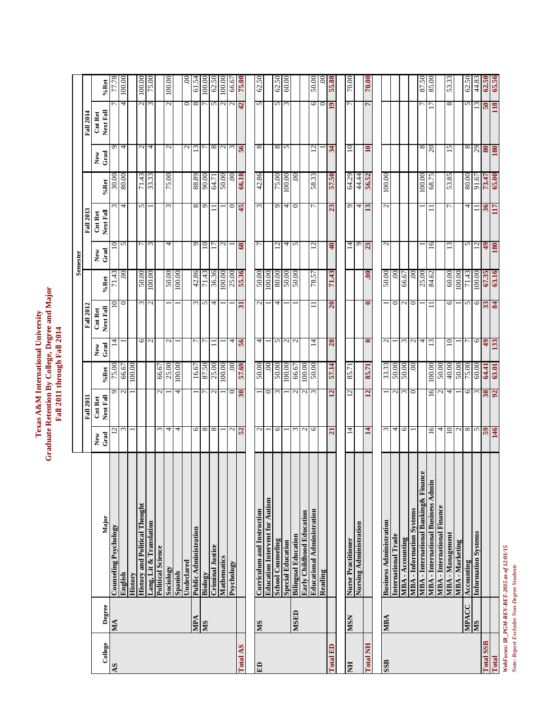|                  |              |                                                     |                    |                      |              |               |                             |                       | Semester                |                            |                       |                   |                         |                    |
|------------------|--------------|-----------------------------------------------------|--------------------|----------------------|--------------|---------------|-----------------------------|-----------------------|-------------------------|----------------------------|-----------------------|-------------------|-------------------------|--------------------|
|                  |              |                                                     |                    | <b>Fall 2011</b>     |              |               | <b>Fall 2012</b>            |                       |                         | <b>Fall 2013</b>           |                       |                   | <b>Fall 2014</b>        |                    |
| College          | Degree       | Major                                               | New<br>Grad        | Next Fall<br>Cnt Ret | %Ret         | Grad<br>New   | Next Fall<br><b>Cnt Ret</b> | %Ret                  | New<br>Grad             | Next Fall<br>Cnt Ret       | %Ret                  | Grad<br>New       | Next Fall<br>Cnt Ret    | %Ret               |
| $\overline{AS}$  | MA           | <b>Counseling Psychology</b>                        | 12                 | ٥                    | 75.00        | $\vec{4}$     | $\Xi$                       | $\overline{7}1.43$    | $\overline{10}$         |                            | 30.00                 | ٥                 |                         | 77.78              |
|                  |              | English                                             | $\tilde{\epsilon}$ | $\mathbf{\Omega}$    | 66.67        |               | $\circ$                     | S.                    | $\sim$                  | $\overline{4}$             | 80.00                 | 4                 | 4                       | 00:001             |
|                  |              | History                                             |                    |                      | 100.00       |               |                             |                       |                         |                            |                       |                   |                         |                    |
|                  |              | <b>History and Political Thought</b>                |                    |                      |              | O             |                             | 50.00                 |                         | 5                          | 71.43                 | $\mathcal{L}$     | $\mathcal{L}$           | 100.00             |
|                  |              | Lang, Lit & Translation                             |                    |                      |              | N             | $\mathbf{\Omega}$           | 100.00                | 3                       |                            | 33.33                 | 4                 | 3                       | 75.00              |
|                  |              | <b>Political Science</b>                            | $\sim$             | N                    | 66.67        |               |                             |                       |                         |                            |                       |                   |                         |                    |
|                  |              | Sociology                                           | 4                  |                      | 25.00        | $\mathbf{c}$  |                             | 50.00                 | 4                       | 3                          | 75.00                 | $\mathbf{\Omega}$ | $\mathcal{L}$           | 100.00             |
|                  |              | Spanish                                             | 4                  | 4                    | 100.00       |               |                             | 100.00                |                         |                            |                       |                   |                         |                    |
|                  |              | Undeclared                                          |                    |                      |              |               |                             |                       |                         |                            |                       | $\mathcal{L}$     | $\circ$                 | 00                 |
|                  | VdM          | <b>Public Administration</b>                        | 6                  |                      | 16.67        |               | $\epsilon$                  | 42.86                 | $\sigma$                | $\infty$                   | 88.89                 | $\overline{13}$   | $\infty$                | 61.54              |
|                  | <b>MS</b>    | Biology                                             | $\infty$           |                      | 87.50        |               | 5                           | 71.43                 | 10                      | $\sigma$                   | 90.00                 |                   |                         | 100.00             |
|                  |              | <b>Criminal Justice</b>                             | $\infty$           |                      | 25.00        |               | 4                           | 36.36                 |                         |                            | 64.71                 | ${}^{\circ}$      | 5                       | 62.50              |
|                  |              | Mathematics                                         |                    |                      | 100.00       |               |                             | $\overline{100.00}$   | $\mathbf{\sim}$         |                            | 50.00                 | N                 | $\mathcal{L}$           | $\frac{100.00}{2}$ |
|                  |              | Psychology                                          | $\mathcal{L}$      | 0                    | S            | 4             |                             |                       |                         | $\circ$                    | S                     | 3                 | $\mathcal{L}$           | 66.67              |
| Total AS         |              |                                                     | <b>ZS</b>          | 30                   | <b>87.69</b> | 95            | ಸ                           | $\frac{25.00}{55.36}$ | 68                      | St                         | 66.18                 | 95                | 42                      | 75.00              |
|                  |              |                                                     |                    |                      |              |               |                             |                       |                         |                            |                       |                   |                         |                    |
| E <sub>D</sub>   | SIN          | Curriculum and Instruction                          | $\sim$             |                      | 50.00        | 4             | $\mathcal{L}$               | 50.00                 | $\overline{r}$          | $\epsilon$                 | 42.86                 | $^{\circ}$        | $\sim$                  | 62.50              |
|                  |              | <b>Education Intervent for Autism</b>               |                    | 0                    | $_{00}$      |               |                             | 100.00                |                         |                            |                       |                   |                         |                    |
|                  |              | <b>School Counseling</b>                            | $\circ$            | $\epsilon$           | 50.00        | S             | 4                           | 80.00                 | 12                      | $\sigma$                   | 75.00                 | ${}^{\circ}$      | 5                       | 62.50              |
|                  |              | <b>Special Education</b>                            |                    |                      | 100.00       | $\mathbf{c}$  |                             | 00'09                 | 4                       | 4                          | 100.00                | 5                 | $\mathfrak{g}$          | 60.00              |
|                  | <b>MSED</b>  | <b>Bilingual Education</b>                          | $\epsilon$         | N                    | 66.67        | $\mathbf{C}$  |                             | 00:09                 | 5                       | $\circ$                    | S                     |                   |                         |                    |
|                  |              | Early Childhood Education                           | $\mathcal{L}$      |                      | 100.00       |               |                             |                       |                         |                            |                       |                   |                         |                    |
|                  |              | <b>Educational Administration</b>                   | $\circ$            |                      | 50.00        | 4             |                             | 78.57                 | $\overline{2}$          |                            | 58.33                 | 51                | 6                       | 50.00              |
|                  |              | Reading                                             |                    |                      |              |               |                             |                       |                         |                            |                       |                   | $\circ$                 | S                  |
| Total ED         |              |                                                     | $\overline{a}$     | $\overline{a}$       | 57.14        | 28            | $\overline{a}$              | 71.43                 | $\overline{\mathsf{a}}$ | $\boldsymbol{\mathcal{Z}}$ | <b>S7.50</b>          | $\frac{3}{4}$     | $\overline{19}$         | <b>SS.88</b>       |
|                  |              |                                                     |                    |                      |              |               |                             |                       |                         |                            |                       |                   |                         |                    |
| E                | <b>MSN</b>   | <b>Nurse Practitioner</b><br>Nursing Administration | $\overline{4}$     | 12                   | 85.71        |               |                             |                       | $\frac{14}{9}$          | $Q =$                      | 64.29                 | $\approx$         | 7                       | 70.00              |
| <b>Total NH</b>  |              |                                                     | 14                 | $\mathbf{z}$         | 85.71        | 0             | 0                           | ຣຸ                    | 23                      | S                          | $\frac{44.44}{56.52}$ | $\mathbf{a}$      | r                       | 70.00              |
|                  |              |                                                     |                    |                      |              |               |                             |                       |                         |                            |                       |                   |                         |                    |
| <b>SSB</b>       | MBA          | <b>Business Administration</b>                      | $\omega$           |                      | 33.33        | $\mathcal{L}$ |                             | 50.00                 | $\mathcal{L}$           | $\mathcal{L}$              | 100.00                |                   |                         |                    |
|                  |              | International Trade                                 | 4                  |                      | 50.00        |               | 0                           | ຣຸ                    |                         |                            |                       |                   |                         |                    |
|                  |              | MBA-Accounting                                      | 0                  | ω                    | 50.00        | $\epsilon$    | $\mathcal{L}$               | 66.67                 |                         |                            |                       |                   |                         |                    |
|                  |              | <b>MBA</b> - Information Systems                    |                    | $\circ$              | 60           |               | $\circ$                     | $\infty$              |                         |                            |                       |                   |                         |                    |
|                  |              | MBA - International Banking & Finance               |                    |                      |              | 4             |                             | 25.00                 |                         |                            | 100.00                | ${}^{\circ}$      |                         | 87.50              |
|                  |              | <b>MBA - International Business Admin</b>           | 16                 | $\overline{16}$      | 100.00       | 13            |                             | 84.62                 | 16                      |                            | 68.75                 | $\Omega$          |                         | 85.00              |
|                  |              | MBA - International Finance                         | 4                  | $\mathbf{\Omega}$    | 00:05        |               |                             |                       |                         |                            |                       |                   |                         |                    |
|                  |              | <b>MBA</b> - Management                             | 10                 | 4                    | 40.00        | $\approx$     | 6                           | 60.00                 | 13                      |                            | 53.85                 | 15                | ${}^{\infty}$           | 53.33              |
|                  |              | <b>MBA</b> - Marketing                              | $\frac{2}{8}$      |                      | 50.00        |               |                             | 100.00                |                         |                            |                       |                   |                         |                    |
|                  | <b>MPACC</b> | Accounting                                          |                    | O                    | 75.00        |               | n                           | 71.43                 | 5                       | 4                          | 80.00                 | $^{\circ}$        | 5                       | 62.50              |
|                  | SM           | <b>Information Systems</b>                          | 5                  |                      | 60.00        | 6             | ७                           | 100.00                | $\overline{c}$          |                            | 91.67                 | $\frac{2}{8}$     | $\mathbf{r}$            | 44.83              |
| <b>Total SSB</b> |              |                                                     | $\frac{59}{6}$     | 38                   | 64.41        | 49            | 33                          | 67.35                 | 49                      | 36                         | 73.47                 |                   | $\overline{\mathbf{5}}$ | 62.50              |
| Total            |              |                                                     |                    | 92                   | 63.01        | 33            | 84                          | 63.16                 |                         | H                          | 65.00                 |                   | 118                     | 65.56              |

Texas A&M International University<br>Graduate Retention By College, Degree and Major<br>Fall 2011 through Fall 2014 **Graduate Retention By College, Degree and Major Texas A&M International University Fall 2011 through Fall 2014**

> WebFocus: IR\_PGM-REV-RET-2015 as of 12/01/15<br>Note: Report Excludes Non-Degree Students *WebFocus: IR\_PGM-REV-RET-2015 as of 12/01/15 Note: Report Excludes Non-Degree Students*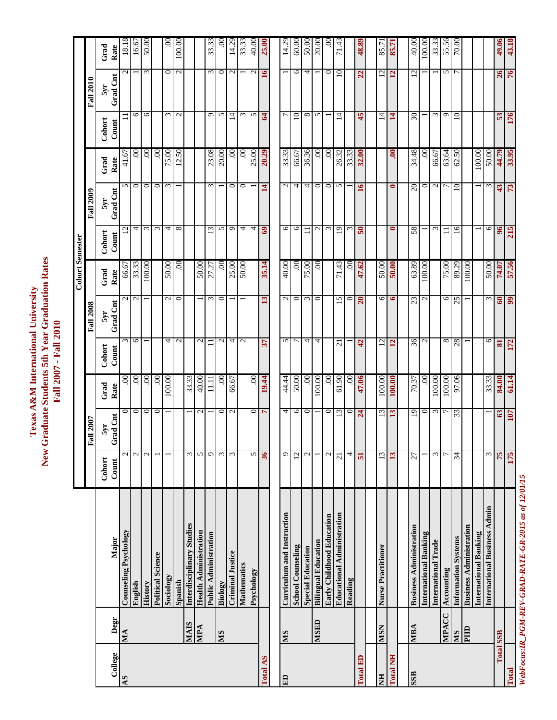|                  |              |                                   |                   |                            |                   |                         |                       | <b>Cohort Semester</b> |                 |                          |        |                     |                      |        |
|------------------|--------------|-----------------------------------|-------------------|----------------------------|-------------------|-------------------------|-----------------------|------------------------|-----------------|--------------------------|--------|---------------------|----------------------|--------|
|                  |              |                                   |                   | Fall 2007                  |                   |                         | <b>Fall 2008</b>      |                        |                 | <b>Fall 2009</b>         |        |                     | <b>Fall 2010</b>     |        |
|                  |              |                                   | Cohort            | 5yr                        | Grad              | Cohort                  | 5yr                   | Grad                   | Cohort          | 5yr                      | Grad   | Cohort              | 5yr                  | Grad   |
| College          | Degr         | Major                             | Count             | rad Cnt<br>↺               | Rate              | Count                   | Grad Cnt              | Rate                   | Count           | Grad Cnt                 | Rate   | Count               | Grad Cnt             | Rate   |
| AS               | MA           | Counseling Psychology             | $\mathcal{L}$     | $\circ$                    | $\mathbf{S}$      | ω                       | $\mathcal{L}$         | 66.67                  | L,              | 5                        | 41.67  |                     | $\mathcal{L}$        | 18.18  |
|                  |              | English                           | $\mathbf{\Omega}$ | $\circ$                    | $\odot$           | $\circ$                 | $\sim$                | 33.3                   | 4               | $\circ$                  | S.     | 6                   |                      | 16.67  |
|                  |              | History                           | $\mathbf{C}$      | $\circ$                    | $\mathbf{S}$      |                         |                       | 100.00                 | $\epsilon$      | $\circ$                  | S      | $\circ$             | $\mathfrak{c}$       | 50.00  |
|                  |              | <b>Political Science</b>          |                   | $\circ$                    | $\mathcal{S}_{0}$ |                         |                       |                        | $\omega$        | $\circ$                  | S      |                     |                      |        |
|                  |              | Sociology                         |                   |                            | 100.00            | 4                       | $\sim$                | 50.00                  | 4               | $\epsilon$               | 75.00  | $\omega$            | $\circ$              | g      |
|                  |              | Spanish                           |                   |                            |                   | $\mathbf{C}$            | $\circ$               | $\mathcal{S}$          | $\infty$        |                          | 12.50  | $\mathbf{C}$        | $\mathbf{C}$         | 100.00 |
|                  | <b>NIAIS</b> | Interdisciplinary Studies         | 3                 |                            | 33.33             |                         |                       |                        |                 |                          |        |                     |                      |        |
|                  | MPA          | <b>Health Administration</b>      | 5                 | $\sim$                     | 40.00             | $\mathbf{C}$            |                       | 50.00                  |                 |                          |        |                     |                      |        |
|                  |              | Public Administration             | Ó                 |                            | $\overline{111}$  |                         | $\epsilon$            | Ņ<br>27.               | $\overline{13}$ | $\epsilon$               | 23.08  | $\circ$             | $\epsilon$           | 33.33  |
|                  | <b>MS</b>    | Biology                           | $\mathfrak{g}$    | $\circ$                    | $\mathbf{S}$      | $\sim$                  | $\circ$               | $\mathcal{S}$          | $\sim$          |                          | 20.00  | S                   | $\circ$              | ξ      |
|                  |              | <b>Criminal Justice</b>           | 3                 | $\mathbf{C}$               | 66.67             | 4                       |                       | 25.00                  | $\circ$         | 0                        | 00     | $\overline{4}$      | $\mathbf{C}$         | 14.29  |
|                  |              | Mathematics                       |                   |                            |                   | $\mathbf{C}$            |                       | 50.00                  | 4               | $\circ$                  | 00     | $\omega$            |                      | 33.33  |
|                  |              | Psychology                        | 5                 |                            | $\odot$           |                         |                       |                        | 4               |                          | 25.00  | 5                   | $\mathbf{\Omega}$    | 40.00  |
| Total AS         |              |                                   | 36                | $\overline{\phantom{a}}$   | 19.44             | 57                      | $\tilde{\bm{\omega}}$ | 35.14                  | $\mathbf{69}$   | 4                        | 20.29  | $\mathfrak{A}$      | $\mathbf{\tilde{s}}$ | 25.00  |
|                  |              |                                   |                   |                            |                   |                         |                       |                        |                 |                          |        |                     |                      |        |
| E                | <b>NIS</b>   | Curriculum and Instruction        | 9                 | 4                          | 44.44             | S                       | $\mathcal{L}$         | 40.00                  | 6               | $\mathcal{L}$            | 33.33  | $\overline{ }$      |                      | 14.29  |
|                  |              | <b>School Counseling</b>          | 12                | $\circ$                    | 50.00             | $\overline{ }$          | 0                     | S                      | 6               | 4                        | 66.67  | $\overline{10}$     | $\circ$              | 60.00  |
|                  |              | <b>Special Education</b>          | 2                 | $\circ$                    | S.                | 4                       | $\epsilon$            | 75.00                  | Ξ               | 4                        | 36.36  | ${}^{\circ}$        | 4                    | 50.00  |
|                  | <b>GHSIN</b> | <b>Bilingual Education</b>        |                   |                            | 00.00             | 4                       | $\circ$               | $\mathcal{S}$          | $\mathcal{L}$   | $\circ$                  | S      | S                   |                      | 20.00  |
|                  |              | Early Childhood Education         | $\mathcal{C}$     | $\circ$                    | S.                |                         |                       |                        | $\epsilon$      | $\circ$                  | S      |                     | $\circ$              | Š      |
|                  |              | <b>Educational Administration</b> | $\overline{c}$    | $\overline{c}$             | 61.90             | $\overline{21}$         | 15                    | 43<br>$\overline{7}$   | 19              | 5                        | 26.32  | $\vec{4}$           | $10 \,$              | 71.43  |
|                  |              | Reading                           | 4                 | $\circ$                    | $\odot$           |                         | 0                     | S.                     | $\epsilon$      |                          | 33.33  |                     |                      |        |
| Total ED         |              |                                   | 51                | $\boldsymbol{\mu}$         | 47.06             | $\ddot{a}$              | $\overline{20}$       | 47.62                  | $\overline{50}$ | $\mathbf{\widetilde{5}}$ | 32.00  | 45                  | 22                   | 48.89  |
|                  |              |                                   |                   |                            |                   |                         |                       |                        |                 |                          |        |                     |                      |        |
| HIN              | <b>NSN</b>   | Nurse Practitioner                | 13                | $\overline{c}$             | 100.00            | $\overline{2}$          | $\circ$               | 50.00                  |                 |                          |        | 4                   | $\overline{c}$       | 85.71  |
| <b>Total NH</b>  |              |                                   | 13                | $\mathbf{r}$               | 100.00            | $\overline{12}$         | $\bullet$             | 50.00                  | $\bullet$       | 0                        | ຣຸ     | $\mathbf{14}$       | $\overline{12}$      | 85.7   |
|                  |              |                                   |                   |                            |                   |                         |                       |                        |                 |                          |        |                     |                      |        |
| <b>SSB</b>       | MBA          | <b>Business Administration</b>    | 27                | $\overline{0}$             | 70.37             | 36                      | 23                    | 63.89                  | 58              | $\Omega$                 | 34.48  | $\overline{\omega}$ | $\overline{c}$       | 40.00  |
|                  |              | International Banking             |                   | 0                          | $\mathcal{S}$     | $\mathcal{L}$           | $\mathcal{L}$         | 100.00                 |                 | 0                        | S      |                     |                      | 100.00 |
|                  |              | International Trade               | Σ                 | $\sim$                     | 100.00            |                         |                       |                        | $\epsilon$      | $\mathbf{c}$             | 66.67  | $\epsilon$          |                      | 33.33  |
|                  | MPACC        | Accounting                        | Γ                 | $\overline{r}$             | 100.00            | $\infty$                | $\circ$               | 75.00                  | Ξ               | ┍                        | 63.64  | ᡋ                   | 5                    | 55.56  |
|                  | <b>NIS</b>   | <b>Information Systems</b>        | 34                | 33                         | 97.06             | 28                      | 25                    | 89.29                  | $\overline{16}$ | 10                       | 62.50  | $10 \,$             | r                    | 70.00  |
|                  | Шd           | <b>Business Administration</b>    |                   |                            |                   |                         |                       | 100.00                 |                 |                          |        |                     |                      |        |
|                  |              | <b>International Banking</b>      |                   |                            |                   |                         |                       |                        |                 |                          | 100.00 |                     |                      |        |
|                  |              | International Business Admin      | ω                 |                            | 33.33             | ७                       | 3                     | 50.00                  | 0               | ω                        | 50.00  |                     |                      |        |
| <b>Total SSB</b> |              |                                   | 75                | $\boldsymbol{\mathcal{S}}$ | 84.00             | $\overline{\mathbf{S}}$ | $\boldsymbol{60}$     | 74.07                  | $\frac{8}{5}$   | 43                       | 44.79  | 53                  | 26                   | 49.06  |
| Total            |              |                                   | 175               | 107                        | 61.14             | 172                     | $\overline{9}$        | 57.56                  | 215             | 73                       | 33.95  | 176                 | 76                   | 43.18  |
|                  |              |                                   |                   |                            |                   |                         |                       |                        |                 |                          |        |                     |                      |        |

WebFocus: IR\_PGM-REV-GRAD-RATE-GR-2015 as of 12/01/15 *WebFocus:IR\_PGM-REV-GRAD-RATE-GR-2015 as of 12/01/15*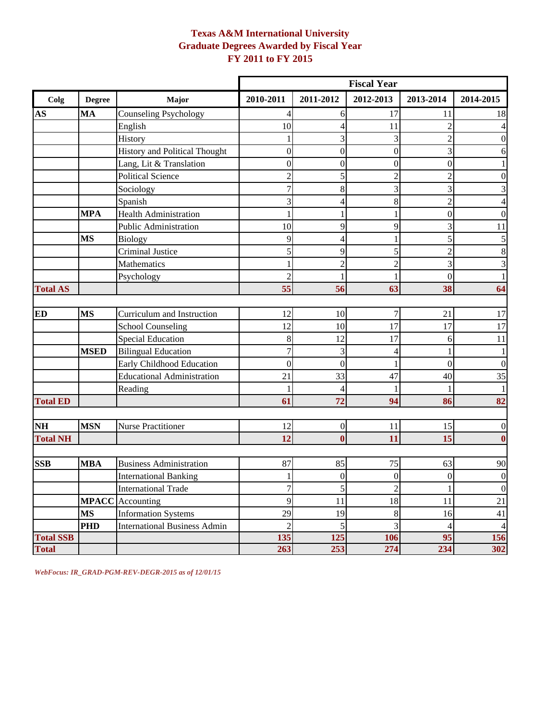## **Texas A&M International University Graduate Degrees Awarded by Fiscal Year FY 2011 to FY 2015**

|                  |               |                                      |                  |                  | <b>Fiscal Year</b> |                |                         |
|------------------|---------------|--------------------------------------|------------------|------------------|--------------------|----------------|-------------------------|
| Colg             | <b>Degree</b> | Major                                | 2010-2011        | 2011-2012        | 2012-2013          | 2013-2014      | 2014-2015               |
| AS               | <b>MA</b>     | <b>Counseling Psychology</b>         | 4                | 6                | 17                 | 11             | 18                      |
|                  |               | English                              | 10               | $\overline{4}$   | 11                 | $\overline{2}$ | 4                       |
|                  |               | History                              | 1                | 3                | 3                  | $\overline{2}$ | $\boldsymbol{0}$        |
|                  |               | <b>History and Political Thought</b> | $\boldsymbol{0}$ | $\boldsymbol{0}$ | $\overline{0}$     | 3              | 6                       |
|                  |               | Lang, Lit & Translation              | $\boldsymbol{0}$ | $\boldsymbol{0}$ | $\overline{0}$     | $\mathbf{0}$   | 1                       |
|                  |               | <b>Political Science</b>             | $\overline{c}$   | 5                | $\overline{2}$     | $\overline{c}$ | $\boldsymbol{0}$        |
|                  |               | Sociology                            | $\overline{7}$   | 8                | 3                  | 3              | 3                       |
|                  |               | Spanish                              | 3                | $\overline{4}$   | 8                  | $\overline{c}$ | $\overline{4}$          |
|                  | <b>MPA</b>    | <b>Health Administration</b>         | 1                |                  |                    | $\overline{0}$ | $\boldsymbol{0}$        |
|                  |               | <b>Public Administration</b>         | 10               | 9                | 9                  | 3              | 11                      |
|                  | <b>MS</b>     | <b>Biology</b>                       | 9                | $\overline{4}$   |                    | 5              | $\sqrt{5}$              |
|                  |               | Criminal Justice                     | 5                | 9                | 5                  | $\overline{c}$ | $\,8\,$                 |
|                  |               | Mathematics                          | 1                | $\overline{c}$   | $\overline{c}$     | 3              | $\overline{\mathbf{3}}$ |
|                  |               | Psychology                           | $\overline{c}$   | $\mathbf{1}$     |                    | $\overline{0}$ | $\mathbf{1}$            |
| <b>Total AS</b>  |               |                                      | 55               | 56               | 63                 | 38             | 64                      |
|                  |               |                                      |                  |                  |                    |                |                         |
| <b>ED</b>        | <b>MS</b>     | Curriculum and Instruction           | 12               | 10               | 7                  | 21             | $17\,$                  |
|                  |               | <b>School Counseling</b>             | 12               | 10               | 17                 | 17             | 17                      |
|                  |               | <b>Special Education</b>             | $\,8\,$          | 12               | 17                 | 6              | 11                      |
|                  | <b>MSED</b>   | <b>Bilingual Education</b>           | $\overline{7}$   | 3                | 4                  | 1              | $\mathbf{1}$            |
|                  |               | Early Childhood Education            | $\boldsymbol{0}$ | $\mathbf{0}$     |                    | $\overline{0}$ | $\boldsymbol{0}$        |
|                  |               | <b>Educational Administration</b>    | 21               | 33               | 47                 | 40             | 35                      |
|                  |               | Reading                              | 1                | $\overline{4}$   |                    |                | 1                       |
| <b>Total ED</b>  |               |                                      | 61               | 72               | 94                 | 86             | 82                      |
| <b>NH</b>        | <b>MSN</b>    | <b>Nurse Practitioner</b>            | 12               | $\boldsymbol{0}$ | 11                 | 15             | $\boldsymbol{0}$        |
| <b>Total NH</b>  |               |                                      | 12               | $\mathbf{0}$     | 11                 | 15             | $\boldsymbol{0}$        |
|                  |               |                                      |                  |                  |                    |                |                         |
| <b>SSB</b>       | <b>MBA</b>    | <b>Business Administration</b>       | 87               | 85               | 75                 | 63             | 90                      |
|                  |               | <b>International Banking</b>         | 1                | $\boldsymbol{0}$ | $\mathbf{0}$       | $\mathbf{0}$   | $\boldsymbol{0}$        |
|                  |               | <b>International Trade</b>           | $\boldsymbol{7}$ | $\mathfrak{S}$   | $\sqrt{2}$         | $\mathbf{1}$   | $\boldsymbol{0}$        |
|                  |               | <b>MPACC</b> Accounting              | 9                | 11               | 18                 | 11             | $21\,$                  |
|                  | <b>MS</b>     | <b>Information Systems</b>           | 29               | 19               | $8\phantom{.}$     | 16             | 41                      |
|                  | PHD           | <b>International Business Admin</b>  | $\overline{c}$   | $\mathfrak s$    | $\overline{3}$     | $\overline{4}$ | $\overline{4}$          |
| <b>Total SSB</b> |               |                                      | 135              | 125              | 106                | 95             | 156                     |
| <b>Total</b>     |               |                                      | 263              | 253              | 274                | 234            | 302                     |

*WebFocus: IR\_GRAD-PGM-REV-DEGR-2015 as of 12/01/15*